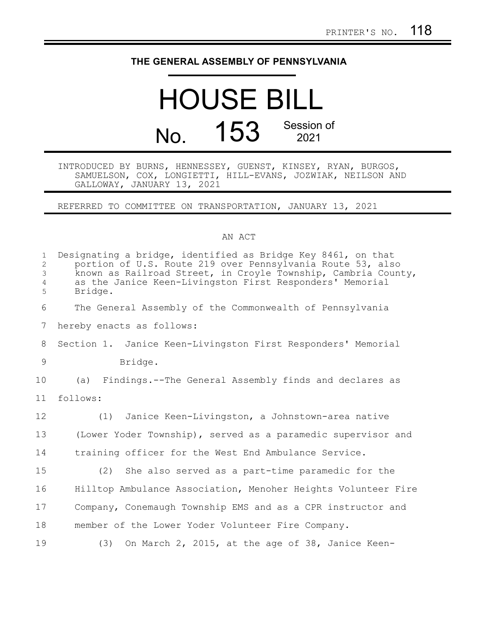## **THE GENERAL ASSEMBLY OF PENNSYLVANIA**

## HOUSE BILL No. 153 Session of

## INTRODUCED BY BURNS, HENNESSEY, GUENST, KINSEY, RYAN, BURGOS, SAMUELSON, COX, LONGIETTI, HILL-EVANS, JOZWIAK, NEILSON AND GALLOWAY, JANUARY 13, 2021

REFERRED TO COMMITTEE ON TRANSPORTATION, JANUARY 13, 2021

## AN ACT

| $\mathbf{1}$<br>2<br>3<br>$\overline{4}$<br>5 | Designating a bridge, identified as Bridge Key 8461, on that<br>portion of U.S. Route 219 over Pennsylvania Route 53, also<br>known as Railroad Street, in Croyle Township, Cambria County,<br>as the Janice Keen-Livingston First Responders' Memorial<br>Bridge. |
|-----------------------------------------------|--------------------------------------------------------------------------------------------------------------------------------------------------------------------------------------------------------------------------------------------------------------------|
| 6                                             | The General Assembly of the Commonwealth of Pennsylvania                                                                                                                                                                                                           |
| 7                                             | hereby enacts as follows:                                                                                                                                                                                                                                          |
| 8                                             | Section 1. Janice Keen-Livingston First Responders' Memorial                                                                                                                                                                                                       |
| 9                                             | Bridge.                                                                                                                                                                                                                                                            |
| 10                                            | (a) Findings.--The General Assembly finds and declares as                                                                                                                                                                                                          |
| 11                                            | follows:                                                                                                                                                                                                                                                           |
| 12                                            | (1) Janice Keen-Livingston, a Johnstown-area native                                                                                                                                                                                                                |
| 13                                            | (Lower Yoder Township), served as a paramedic supervisor and                                                                                                                                                                                                       |
| 14                                            | training officer for the West End Ambulance Service.                                                                                                                                                                                                               |
| 15                                            | (2) She also served as a part-time paramedic for the                                                                                                                                                                                                               |
| 16                                            | Hilltop Ambulance Association, Menoher Heights Volunteer Fire                                                                                                                                                                                                      |
| 17                                            | Company, Conemaugh Township EMS and as a CPR instructor and                                                                                                                                                                                                        |
| 18                                            | member of the Lower Yoder Volunteer Fire Company.                                                                                                                                                                                                                  |
| 19                                            | (3) On March 2, 2015, at the age of 38, Janice Keen-                                                                                                                                                                                                               |